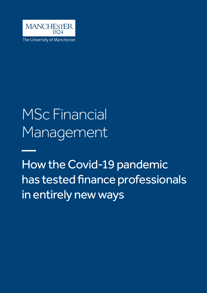

The University of Manchester

## MSc Financial Management

How the Covid-19 pandemic has tested finance professionals in entirely new ways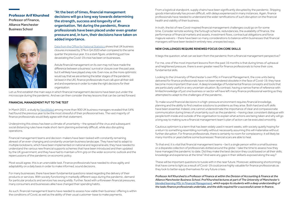"At the best of times, financial management decisions will go a long way towards determining the strength, success and longevity of an organisation. Yet during the pandemic, finance professionals have been placed under even greater pressure and, in turn, their decisions have taken on added importance.

[Data from the Office for National Statistics](https://www.ons.gov.uk/businessindustryandtrade/business/activitysizeandlocation/bulletins/businessdemographyquarterlyexperimentalstatisticsuk/quarter42020) shows that UK business closures increased by 37% in Q4 2020 when compared to the same quarter the previous year. It is a stark figure, underlining just how devastating the Covid-19 crisis has been on businesses.

Astute financial management on its own may not have made the difference between a business' survival or closure over the past year, but it will likely have played a key role. Even now, as the more optimistic would say that we are entering the latter stages of the pandemic (at least in the UK), finance professionals must call upon all their skill and and experience in order to make the right decisions for their organisation.

**Professor Arif Khurshed** Professor of Finance, Alliance Manchester Business School



Let us first establish the main ways in which financial management decisions have been put under the microscope during the pandemic. And we can then consider the key lessons that can be carried forward.

## FINANCIAL MANAGEMENT PUT TO THE TEST

In March 2021, a study by [NerdWallet](https://www.nerdwallet.com/uk/business/mental-health-during-coronavirus/) among more than 900 UK business managers revealed that 54% had found the previous year to be the most stressful of their professional lives. The vast majority of finance professionals would likely agree with that statement.

Underpinning this stress has been a climate of uncertainty – the spread of the virus and subsequent social distancing rules have made short-term planning extremely difficult, while also disrupting operations.

Financial management teams and decision-makers have been tasked with constantly remaining abreast of an ever-changing and constantly uncertain business landscape. They have had to adapt to multiple lockdowns, which have been implemented on national and regional levels; they have needed to understand the various new financial supports schemes that have been introduced and then updated by the UK government; and they have had to maintain a firm grip on the wider economic outlook and the repercussions of the pandemic on economic policy.

Most would agree, this is an unenviable task. Finance professionals have needed to show agility and adaptability on a daily basis in order to make informed, sound decisions.

For many businesses, there have been fundamental questions raised regarding the delivery of their products or services. With society functioning in markedly different ways during the pandemic, demand for particular products and services has swung wildly. Further, faced with unforeseen financial pressures, many consumers and businesses alike have changed their spending habits.

As such, financial management teams have needed to assess how viable their business' offering is within the conditions of Covid, as well as the ability of their usual customer-base to make payments.

From a logistical standpoint, supply chains have been significantly disrupted by the pandemic. Shipping goods internationally has proven difficult, with delays experienced in many instances. Again, finance professionals have needed to understand the wider ramifications of such disruption on the financial health and viability of their business.

In truth, the list of new Covid-inspired financial management challenges could go on for some time. Consider remote working, the furlough scheme, redundancies, the availability of finance, the performance of financial markets and assets, investment flows, contractual obligations and force majeure waivers – there have been so many considerations to balance within businesses that financial managers will have been tested in entirely new, unexpected ways.

## NEW CHALLENGES REQUIRE RENEWED FOCUS ON CORE SKILLS

It begs the question, what can we learn from the pandemic from a financial management perspective?

For me, one of the most important lessons from the past 16 months is that during times of upheaval and heightened pressure, there is even greater need for finance professionals to hone their core, fundamental skills.

Looking to the University of Manchester's own MSc in Financial Management, the core units being delivered for finance professionals have not been rendered obsolete in the face of Covid-19; they have become more important than ever. A deep knowledge of fundamental finance concepts and tools that are particularly useful in a very uncertain situation. By contrast, having a narrow frame of reference with limited knowledge of just one business or sector will have left many finance professional wanting as they attempted to adapt to the challenges of the pandemic.

To make sound financial decisions in a high-pressure environment requires financial knowledge, planning and the ability to find creative solutions to problems as they arise. Both hard and soft skills have been essential. Indeed, one cannot underestimate the importance of clear and compassionate communication during times of uncertainty such as the pandemic – having clear, consistent dialogue with people both inside and outside of the organisation to explain what actions are being taken and why will go a long way to making sure a financial management team's plan of action can be executed smoothly.

Cautious optimism is a term that has been widely used in recent weeks, with society quietly hoping for a return to something resembling normality without necessarily assuming this will materialise without further disruption. For finance professionals, there is certainly no room for complacency; it will likely be many months or years before some businesses' financial scars are able to heal.

To that end, it is vital that financial management teams – be it a single person within a small business or a disparate collection of professionals dotted around the globe – take the time to assess how they have managed the pandemic to date. Did they make the best decision they could based on all their skills, knowledge and experience at the time? And were any gaps in their skillsets exposed along the way?

These will be important questions to tussle with in the near future. Moreover, addressing shortcomings that have come to light as a result of Covid-19 could prove highly valuable for finance professionals as they look to better equip themselves for any future crises.

*Professor Arif Khurshed is a Professor of Finance at within the Division of Accounting & Finance at the Alliance Manchester Business School. Prof Khurshed lectures at part of The University of Manchester's [blended learning MSc in Financial Management,](https://www.manchester.ac.uk/study/online-blended-learning/courses/12510/msc-financial-management/) which equips its students with a deep understanding of the tasks finance professionals undertake, and the skills required for a successful career in finance.*